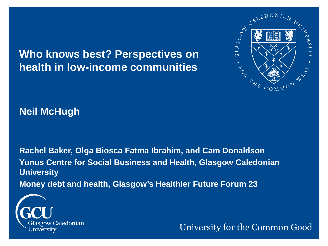**Who knows best? Perspectives on health in low-income communities** 



**Neil McHugh**

**Rachel Baker, Olga Biosca Fatma Ibrahim, and Cam Donaldson Yunus Centre for Social Business and Health, Glasgow Caledonian University Money debt and health, Glasgow's Healthier Future Forum 23**



University for the Common Good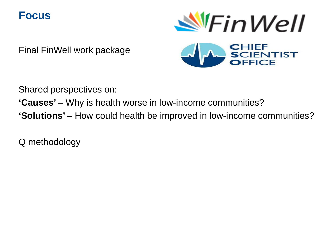#### **Focus**



Final FinWell work package



Shared perspectives on:

**'Causes'** – Why is health worse in low-income communities?

**'Solutions'** – How could health be improved in low-income communities?

Q methodology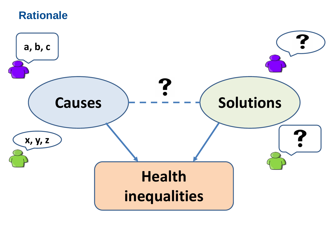#### **Rationale**

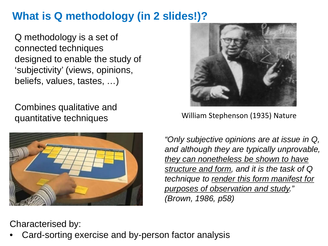# **What is Q methodology (in 2 slides!)?**

Q methodology is a set of connected techniques designed to enable the study of 'subjectivity' (views, opinions, beliefs, values, tastes, …)

Combines qualitative and quantitative techniques





William Stephenson (1935) Nature

*"Only subjective opinions are at issue in Q, and although they are typically unprovable, they can nonetheless be shown to have structure and form, and it is the task of Q technique to render this form manifest for purposes of observation and study." (Brown, 1986, p58)*

Characterised by:

• Card-sorting exercise and by-person factor analysis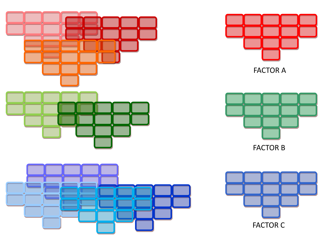





FACTOR A



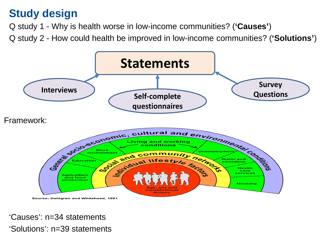### **Study design**

Q study 1 - Why is health worse in low-income communities? (**'Causes'**)

Q study 2 - How could health be improved in low-income communities? (**'Solutions'**)



'Causes': n=34 statements 'Solutions': n=39 statements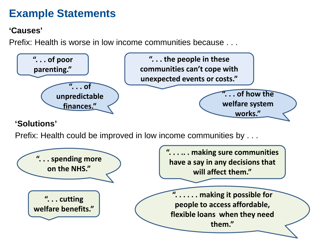## **Example Statements**

#### **'Causes'**

Prefix: Health is worse in low income communities because . . .



#### **'Solutions'**

Prefix: Health could be improved in low income communities by . . .

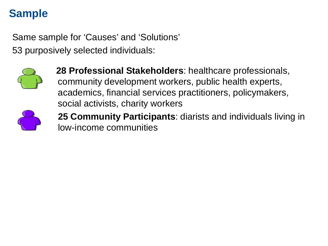# **Sample**

Same sample for 'Causes' and 'Solutions' 53 purposively selected individuals:



**28 Professional Stakeholders**: healthcare professionals, community development workers, public health experts, academics, financial services practitioners, policymakers, social activists, charity workers



**25 Community Participants**: diarists and individuals living in low-income communities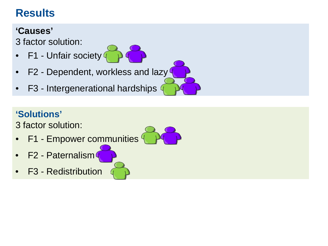# **Results**

#### **'Causes'**

3 factor solution:

- F1 Unfair society 4
- F2 Dependent, workless and lazy
- F3 Intergenerational hardships

#### **'Solutions'**

3 factor solution:

- F1 Empower communities
- F2 Paternalism
- F3 Redistribution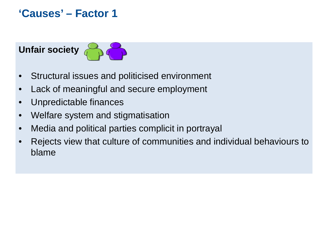**'Causes' – Factor 1**

# **Unfair society**

- Structural issues and politicised environment
- Lack of meaningful and secure employment
- Unpredictable finances
- Welfare system and stigmatisation
- Media and political parties complicit in portrayal
- Rejects view that culture of communities and individual behaviours to blame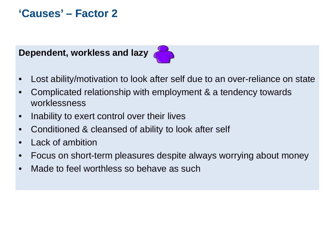### **'Causes' – Factor 2**





- Lost ability/motivation to look after self due to an over-reliance on state
- Complicated relationship with employment & a tendency towards worklessness
- Inability to exert control over their lives
- Conditioned & cleansed of ability to look after self
- Lack of ambition
- Focus on short-term pleasures despite always worrying about money
- Made to feel worthless so behave as such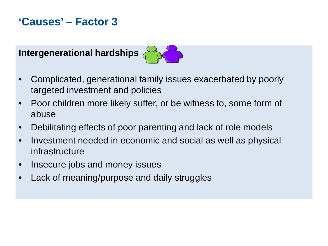### **'Causes' – Factor 3**



- Complicated, generational family issues exacerbated by poorly targeted investment and policies
- Poor children more likely suffer, or be witness to, some form of abuse
- Debilitating effects of poor parenting and lack of role models
- Investment needed in economic and social as well as physical infrastructure
- Insecure jobs and money issues
- Lack of meaning/purpose and daily struggles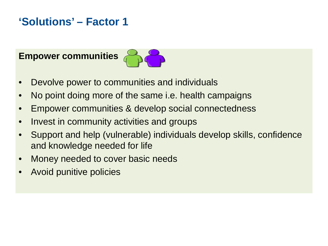# **'Solutions' – Factor 1**

**Empower communities** 



- Devolve power to communities and individuals
- No point doing more of the same i.e. health campaigns
- Empower communities & develop social connectedness
- Invest in community activities and groups
- Support and help (vulnerable) individuals develop skills, confidence and knowledge needed for life
- Money needed to cover basic needs
- Avoid punitive policies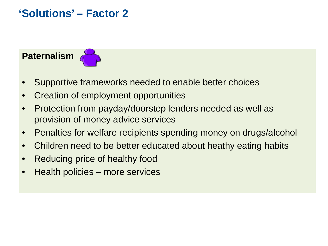### **'Solutions' – Factor 2**

#### **Paternalism**



- Supportive frameworks needed to enable better choices
- Creation of employment opportunities
- Protection from payday/doorstep lenders needed as well as provision of money advice services
- Penalties for welfare recipients spending money on drugs/alcohol
- Children need to be better educated about heathy eating habits
- Reducing price of healthy food
- Health policies more services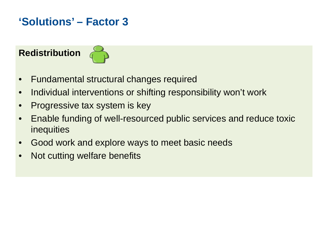# **'Solutions' – Factor 3**

#### **Redistribution**



- Fundamental structural changes required
- Individual interventions or shifting responsibility won't work
- Progressive tax system is key
- Enable funding of well-resourced public services and reduce toxic inequities
- Good work and explore ways to meet basic needs
- Not cutting welfare benefits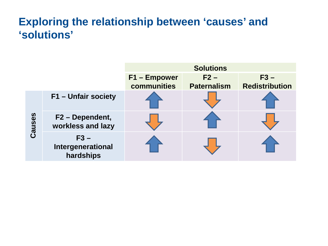### **Exploring the relationship between 'causes' and 'solutions'**

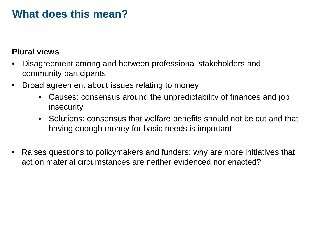#### **What does this mean?**

#### **Plural views**

- Disagreement among and between professional stakeholders and community participants
- Broad agreement about issues relating to money
	- Causes: consensus around the unpredictability of finances and job insecurity
	- Solutions: consensus that welfare benefits should not be cut and that having enough money for basic needs is important
- Raises questions to policymakers and funders: why are more initiatives that act on material circumstances are neither evidenced nor enacted?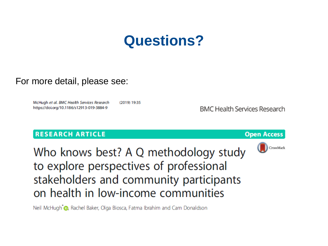# **Questions?**

#### For more detail, please see:

McHugh et al. BMC Health Services Research (2019) 19:35 https://doi.org/10.1186/s12913-019-3884-9

**BMC Health Services Research** 

#### **RESEARCH ARTICLE**





Who knows best? A Q methodology study to explore perspectives of professional stakeholders and community participants on health in low-income communities

Neil McHugh <sub>®</sub>, Rachel Baker, Olga Biosca, Fatma Ibrahim and Cam Donaldson